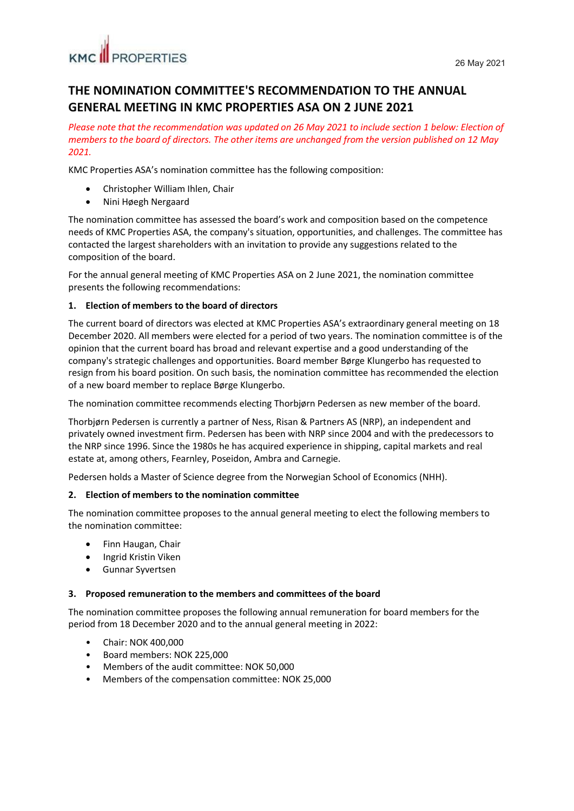## **THE NOMINATION COMMITTEE'S RECOMMENDATION TO THE ANNUAL GENERAL MEETING IN KMC PROPERTIES ASA ON 2 JUNE 2021**

*Please note that the recommendation was updated on 26 May 2021 to include section 1 below: Election of members to the board of directors. The other items are unchanged from the version published on 12 May 2021.*

KMC Properties ASA's nomination committee has the following composition:

- Christopher William Ihlen, Chair
- Nini Høegh Nergaard

The nomination committee has assessed the board's work and composition based on the competence needs of KMC Properties ASA, the company's situation, opportunities, and challenges. The committee has contacted the largest shareholders with an invitation to provide any suggestions related to the composition of the board.

For the annual general meeting of KMC Properties ASA on 2 June 2021, the nomination committee presents the following recommendations:

#### **1. Election of members to the board of directors**

The current board of directors was elected at KMC Properties ASA's extraordinary general meeting on 18 December 2020. All members were elected for a period of two years. The nomination committee is of the opinion that the current board has broad and relevant expertise and a good understanding of the company's strategic challenges and opportunities. Board member Børge Klungerbo has requested to resign from his board position. On such basis, the nomination committee has recommended the election of a new board member to replace Børge Klungerbo.

The nomination committee recommends electing Thorbjørn Pedersen as new member of the board.

Thorbjørn Pedersen is currently a partner of Ness, Risan & Partners AS (NRP), an independent and privately owned investment firm. Pedersen has been with NRP since 2004 and with the predecessors to the NRP since 1996. Since the 1980s he has acquired experience in shipping, capital markets and real estate at, among others, Fearnley, Poseidon, Ambra and Carnegie.

Pedersen holds a Master of Science degree from the Norwegian School of Economics (NHH).

#### **2. Election of members to the nomination committee**

The nomination committee proposes to the annual general meeting to elect the following members to the nomination committee:

- Finn Haugan, Chair
- Ingrid Kristin Viken
- Gunnar Syvertsen

#### **3. Proposed remuneration to the members and committees of the board**

The nomination committee proposes the following annual remuneration for board members for the period from 18 December 2020 and to the annual general meeting in 2022:

- Chair: NOK 400,000
- Board members: NOK 225,000
- Members of the audit committee: NOK 50,000
- Members of the compensation committee: NOK 25,000